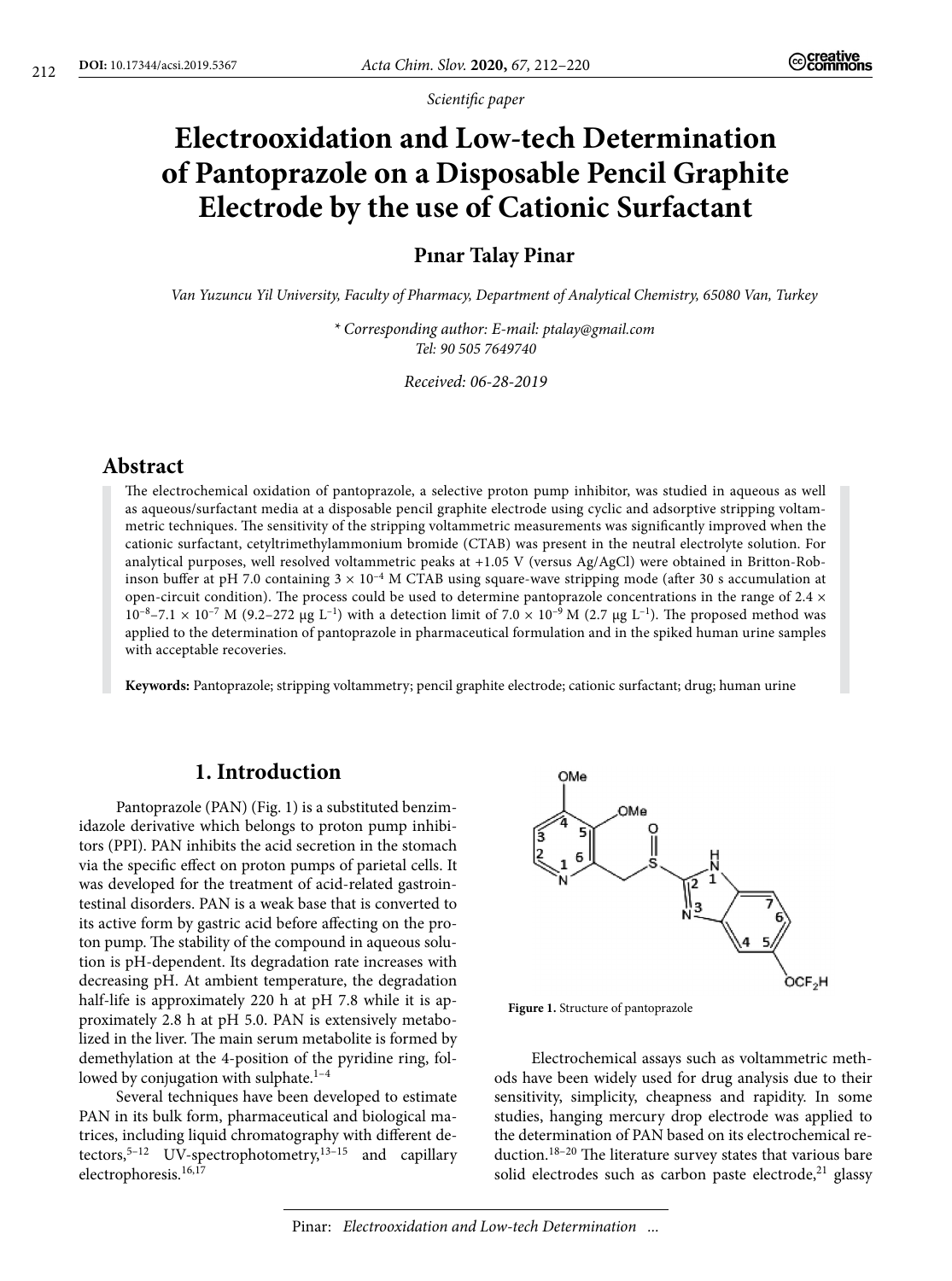*Scientific paper*

# **Electrooxidation and Low-tech Determination of Pantoprazole on a Disposable Pencil Graphite Electrode by the use of Cationic Surfactant**

### **Pınar Talay Pinar**

*Van Yuzuncu Yil University, Faculty of Pharmacy, Department of Analytical Chemistry, 65080 Van, Turkey*

*\* Corresponding author: E-mail: [ptalay@gmail.com](mailto:ptalay@gmail.com)  Tel: 90 505 7649740*

*Received: 06-28-2019*

## **Abstract**

The electrochemical oxidation of pantoprazole, a selective proton pump inhibitor, was studied in aqueous as well as aqueous/surfactant media at a disposable pencil graphite electrode using cyclic and adsorptive stripping voltammetric techniques. The sensitivity of the stripping voltammetric measurements was significantly improved when the cationic surfactant, cetyltrimethylammonium bromide (CTAB) was present in the neutral electrolyte solution. For analytical purposes, well resolved voltammetric peaks at +1.05 V (versus Ag/AgCl) were obtained in Britton-Robinson buffer at pH 7.0 containing  $3 \times 10^{-4}$  M CTAB using square-wave stripping mode (after 30 s accumulation at open-circuit condition). The process could be used to determine pantoprazole concentrations in the range of  $2.4 \times$  $10^{-8}$ –7.1 ×  $10^{-7}$  M (9.2–272 µg L<sup>-1</sup>) with a detection limit of 7.0 ×  $10^{-9}$  M (2.7 µg L<sup>-1</sup>). The proposed method was applied to the determination of pantoprazole in pharmaceutical formulation and in the spiked human urine samples with acceptable recoveries.

**Keywords:** Pantoprazole; stripping voltammetry; pencil graphite electrode; cationic surfactant; drug; human urine

## **1. Introduction**

Pantoprazole (PAN) (Fig. 1) is a substituted benzimidazole derivative which belongs to proton pump inhibitors (PPI). PAN inhibits the acid secretion in the stomach via the specific effect on proton pumps of parietal cells. It was developed for the treatment of acid-related gastrointestinal disorders. PAN is a weak base that is converted to its active form by gastric acid before affecting on the proton pump. The stability of the compound in aqueous solution is pH-dependent. Its degradation rate increases with decreasing pH. At ambient temperature, the degradation half-life is approximately 220 h at pH 7.8 while it is approximately 2.8 h at pH 5.0. PAN is extensively metabolized in the liver. The main serum metabolite is formed by demethylation at the 4-position of the pyridine ring, followed by conjugation with sulphate.<sup>1-4</sup>

Several techniques have been developed to estimate PAN in its bulk form, pharmaceutical and biological matrices, including liquid chromatography with different detectors,<sup>5-12</sup> UV-spectrophotometry,<sup>13-15</sup> and capillary electrophoresis.<sup>16,17</sup>



**Figure 1.** Structure of pantoprazole

Electrochemical assays such as voltammetric methods have been widely used for drug analysis due to their sensitivity, simplicity, cheapness and rapidity. In some studies, hanging mercury drop electrode was applied to the determination of PAN based on its electrochemical reduction.18–20 The literature survey states that various bare solid electrodes such as carbon paste electrode, $21$  glassy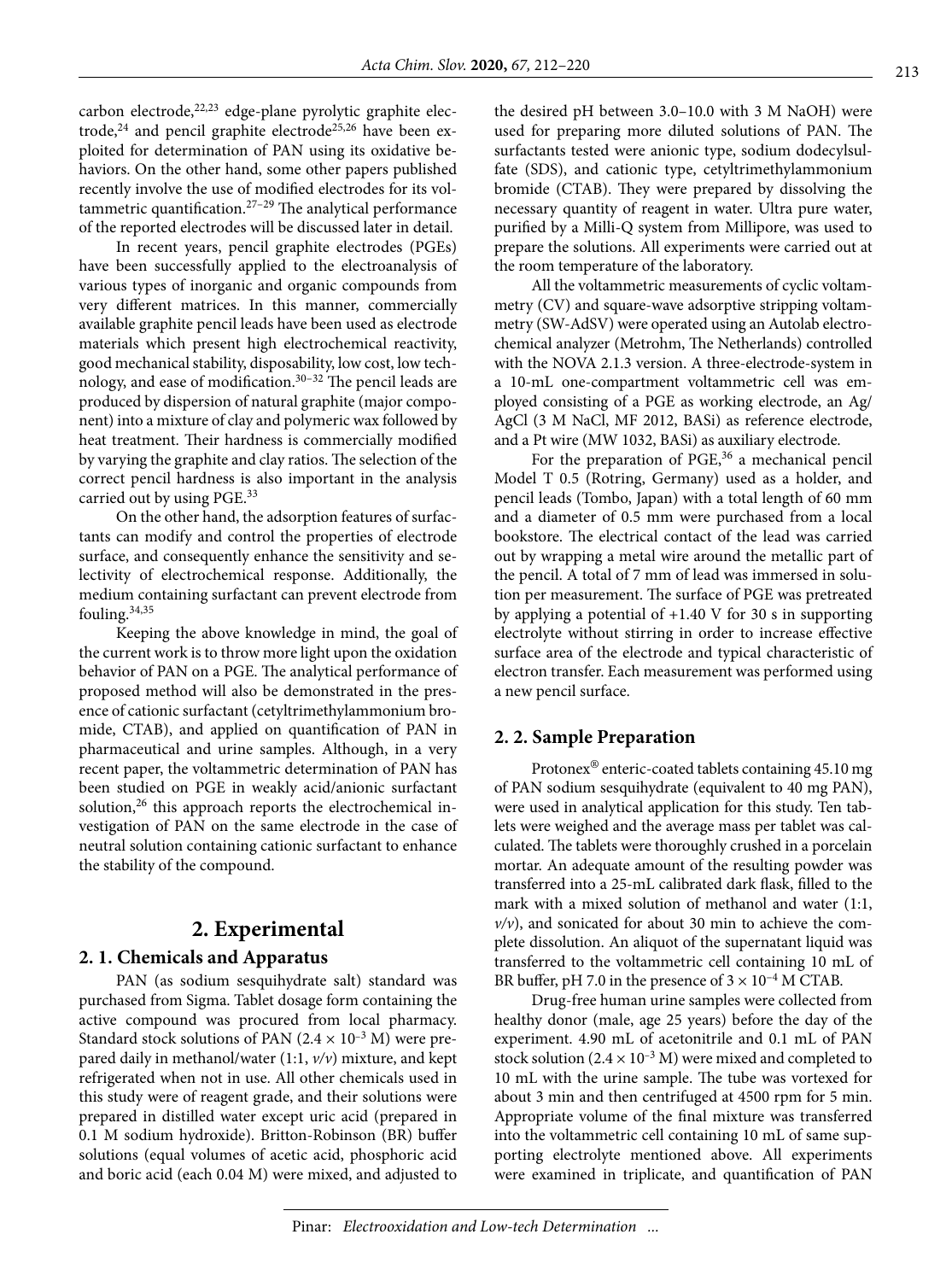carbon electrode, 22,23 edge-plane pyrolytic graphite electrode,<sup>24</sup> and pencil graphite electrode<sup>25,26</sup> have been exploited for determination of PAN using its oxidative behaviors. On the other hand, some other papers published recently involve the use of modified electrodes for its voltammetric quantification.27–29 The analytical performance of the reported electrodes will be discussed later in detail.

In recent years, pencil graphite electrodes (PGEs) have been successfully applied to the electroanalysis of various types of inorganic and organic compounds from very different matrices. In this manner, commercially available graphite pencil leads have been used as electrode materials which present high electrochemical reactivity, good mechanical stability, disposability, low cost, low technology, and ease of modification.<sup>30-32</sup> The pencil leads are produced by dispersion of natural graphite (major component) into a mixture of clay and polymeric wax followed by heat treatment. Their hardness is commercially modified by varying the graphite and clay ratios. The selection of the correct pencil hardness is also important in the analysis carried out by using PGE.<sup>33</sup>

On the other hand, the adsorption features of surfactants can modify and control the properties of electrode surface, and consequently enhance the sensitivity and selectivity of electrochemical response. Additionally, the medium containing surfactant can prevent electrode from fouling.<sup>34,35</sup>

Keeping the above knowledge in mind, the goal of the current work is to throw more light upon the oxidation behavior of PAN on a PGE. The analytical performance of proposed method will also be demonstrated in the presence of cationic surfactant (cetyltrimethylammonium bromide, CTAB), and applied on quantification of PAN in pharmaceutical and urine samples. Although, in a very recent paper, the voltammetric determination of PAN has been studied on PGE in weakly acid/anionic surfactant solution,<sup>26</sup> this approach reports the electrochemical investigation of PAN on the same electrode in the case of neutral solution containing cationic surfactant to enhance the stability of the compound.

## **2. Experimental**

#### **2. 1. Chemicals and Apparatus**

PAN (as sodium sesquihydrate salt) standard was purchased from Sigma. Tablet dosage form containing the active compound was procured from local pharmacy. Standard stock solutions of PAN (2.4  $\times$  10<sup>-3</sup> M) were prepared daily in methanol/water (1:1, *v/v*) mixture, and kept refrigerated when not in use. All other chemicals used in this study were of reagent grade, and their solutions were prepared in distilled water except uric acid (prepared in 0.1 M sodium hydroxide). Britton-Robinson (BR) buffer solutions (equal volumes of acetic acid, phosphoric acid and boric acid (each 0.04 M) were mixed, and adjusted to the desired pH between 3.0–10.0 with 3 M NaOH) were used for preparing more diluted solutions of PAN. The surfactants tested were anionic type, sodium dodecylsulfate (SDS), and cationic type, cetyltrimethylammonium bromide (CTAB). They were prepared by dissolving the necessary quantity of reagent in water. Ultra pure water, purified by a Milli-Q system from Millipore, was used to prepare the solutions. All experiments were carried out at the room temperature of the laboratory.

All the voltammetric measurements of cyclic voltammetry (CV) and square-wave adsorptive stripping voltammetry (SW-AdSV) were operated using an Autolab electrochemical analyzer (Metrohm, The Netherlands) controlled with the NOVA 2.1.3 version. A three-electrode-system in a 10-mL one-compartment voltammetric cell was employed consisting of a PGE as working electrode, an Ag/ AgCl (3 M NaCl, MF 2012, BASi) as reference electrode, and a Pt wire (MW 1032, BASi) as auxiliary electrode.

For the preparation of PGE,<sup>36</sup> a mechanical pencil Model T 0.5 (Rotring, Germany) used as a holder, and pencil leads (Tombo, Japan) with a total length of 60 mm and a diameter of 0.5 mm were purchased from a local bookstore. The electrical contact of the lead was carried out by wrapping a metal wire around the metallic part of the pencil. A total of 7 mm of lead was immersed in solution per measurement. The surface of PGE was pretreated by applying a potential of +1.40 V for 30 s in supporting electrolyte without stirring in order to increase effective surface area of the electrode and typical characteristic of electron transfer. Each measurement was performed using a new pencil surface.

#### **2. 2. Sample Preparation**

Protonex® enteric-coated tablets containing 45.10 mg of PAN sodium sesquihydrate (equivalent to 40 mg PAN), were used in analytical application for this study. Ten tablets were weighed and the average mass per tablet was calculated. The tablets were thoroughly crushed in a porcelain mortar. An adequate amount of the resulting powder was transferred into a 25-mL calibrated dark flask, filled to the mark with a mixed solution of methanol and water (1:1,  $v/v$ , and sonicated for about 30 min to achieve the complete dissolution. An aliquot of the supernatant liquid was transferred to the voltammetric cell containing 10 mL of BR buffer, pH 7.0 in the presence of  $3 \times 10^{-4}$  M CTAB.

Drug-free human urine samples were collected from healthy donor (male, age 25 years) before the day of the experiment. 4.90 mL of acetonitrile and 0.1 mL of PAN stock solution  $(2.4 \times 10^{-3} \text{ M})$  were mixed and completed to 10 mL with the urine sample. The tube was vortexed for about 3 min and then centrifuged at 4500 rpm for 5 min. Appropriate volume of the final mixture was transferred into the voltammetric cell containing 10 mL of same supporting electrolyte mentioned above. All experiments were examined in triplicate, and quantification of PAN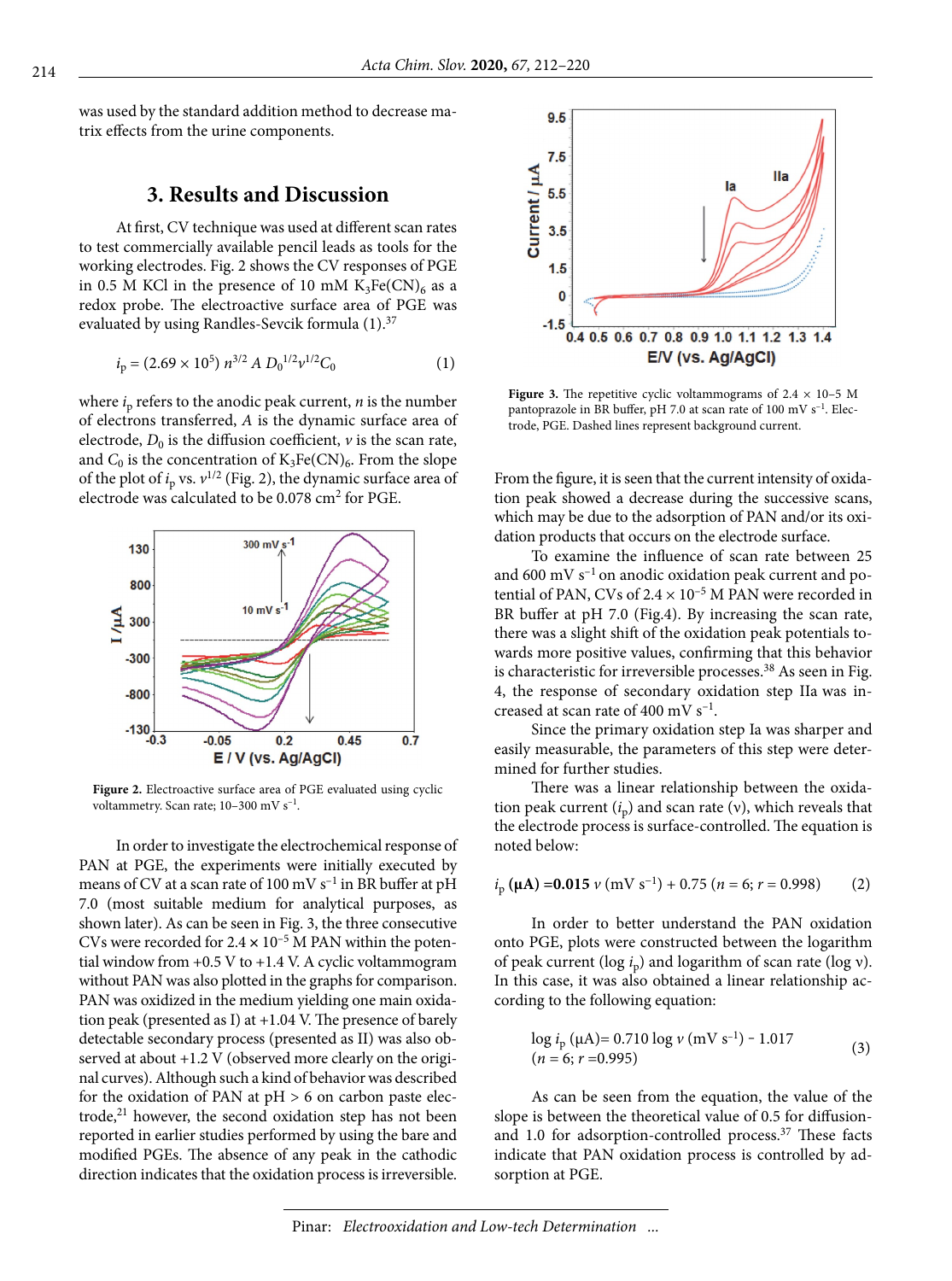was used by the standard addition method to decrease matrix effects from the urine components.

# **3. Results and Discussion**

At first, CV technique was used at different scan rates to test commercially available pencil leads as tools for the working electrodes. Fig. 2 shows the CV responses of PGE in 0.5 M KCl in the presence of 10 mM  $K_3Fe(CN)_6$  as a redox probe. The electroactive surface area of PGE was evaluated by using Randles-Sevcik formula (1).<sup>37</sup>

$$
i_p = (2.69 \times 10^5) n^{3/2} A D_0^{1/2} v^{1/2} C_0
$$
 (1)

where  $i<sub>p</sub>$  refers to the anodic peak current,  $n$  is the number of electrons transferred, *A* is the dynamic surface area of electrode,  $D_0$  is the diffusion coefficient,  $\nu$  is the scan rate, and  $C_0$  is the concentration of  $K_3Fe(CN)_6$ . From the slope of the plot of  $i_p$  vs.  $v^{1/2}$  (Fig. 2), the dynamic surface area of electrode was calculated to be 0.078 cm2 for PGE.



**Figure 2.** Electroactive surface area of PGE evaluated using cyclic voltammetry. Scan rate; 10-300 mV s<sup>-1</sup>.

In order to investigate the electrochemical response of PAN at PGE, the experiments were initially executed by means of CV at a scan rate of 100 mV  $s^{-1}$  in BR buffer at pH 7.0 (most suitable medium for analytical purposes, as shown later). As can be seen in Fig. 3, the three consecutive CVs were recorded for  $2.4 \times 10^{-5}$  M PAN within the potential window from +0.5 V to +1.4 V. A cyclic voltammogram without PAN was also plotted in the graphs for comparison. PAN was oxidized in the medium yielding one main oxidation peak (presented as I) at +1.04 V. The presence of barely detectable secondary process (presented as II) was also observed at about +1.2 V (observed more clearly on the original curves). Although such a kind of behavior was described for the oxidation of PAN at  $pH > 6$  on carbon paste electrode, $21$  however, the second oxidation step has not been reported in earlier studies performed by using the bare and modified PGEs. The absence of any peak in the cathodic direction indicates that the oxidation process is irreversible.



**Figure 3.** The repetitive cyclic voltammograms of  $2.4 \times 10-5$  M pantoprazole in BR buffer, pH 7.0 at scan rate of 100 mV s–1. Electrode, PGE. Dashed lines represent background current.

From the figure, it is seen that the current intensity of oxidation peak showed a decrease during the successive scans, which may be due to the adsorption of PAN and/or its oxidation products that occurs on the electrode surface.

To examine the influence of scan rate between 25 and 600 mV  $s^{-1}$  on anodic oxidation peak current and potential of PAN, CVs of  $2.4 \times 10^{-5}$  M PAN were recorded in BR buffer at pH 7.0 (Fig.4). By increasing the scan rate, there was a slight shift of the oxidation peak potentials towards more positive values, confirming that this behavior is characteristic for irreversible processes.<sup>38</sup> As seen in Fig. 4, the response of secondary oxidation step IIa was increased at scan rate of 400 mV  $s^{-1}$ .

Since the primary oxidation step Ia was sharper and easily measurable, the parameters of this step were determined for further studies.

There was a linear relationship between the oxidation peak current  $(i_n)$  and scan rate (v), which reveals that the electrode process is surface-controlled. The equation is noted below:

$$
i_{\rm p} \, (\mu \mathbf{A}) = 0.015 \, \nu \, (\text{mV s}^{-1}) + 0.75 \, (n = 6; r = 0.998) \tag{2}
$$

In order to better understand the PAN oxidation onto PGE, plots were constructed between the logarithm of peak current (log *i*p) and logarithm of scan rate (log ν). In this case, it was also obtained a linear relationship according to the following equation:

$$
\log i_{\rm p} (\mu \rm{A}) = 0.710 \log \nu \, (\rm{mV} \, \rm{s}^{-1}) - 1.017
$$
  
(*n* = 6; *r* = 0.995) (3)

As can be seen from the equation, the value of the slope is between the theoretical value of 0.5 for diffusionand 1.0 for adsorption-controlled process.<sup>37</sup> These facts indicate that PAN oxidation process is controlled by adsorption at PGE.

Pinar: *Electrooxidation and Low-tech Determination ...*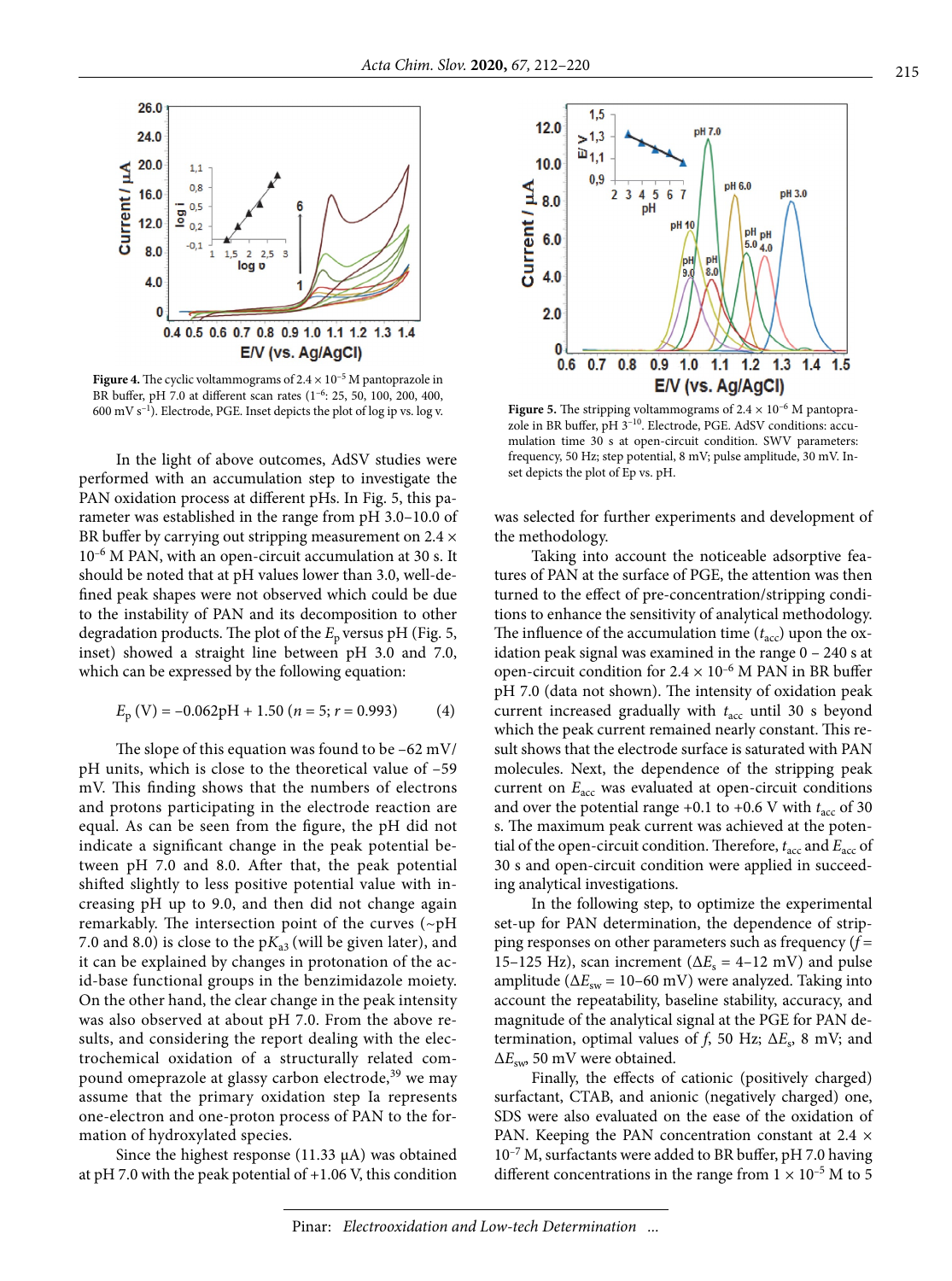

**Figure 4.** The cyclic voltammograms of  $2.4 \times 10^{-5}$  M pantoprazole in BR buffer, pH 7.0 at different scan rates (1–6: 25, 50, 100, 200, 400, 600 mV s–1). Electrode, PGE. Inset depicts the plot of log ip vs. log v. **Figure 5.** The stripping voltammograms of 2.4 × 10–6 M pantopra-

In the light of above outcomes, AdSV studies were performed with an accumulation step to investigate the PAN oxidation process at different pHs. In Fig. 5, this parameter was established in the range from pH 3.0–10.0 of BR buffer by carrying out stripping measurement on  $2.4 \times$ 10–6 M PAN, with an open-circuit accumulation at 30 s. It should be noted that at pH values lower than 3.0, well-defined peak shapes were not observed which could be due to the instability of PAN and its decomposition to other degradation products. The plot of the  $E_p$  versus pH (Fig. 5, inset) showed a straight line between pH 3.0 and 7.0, which can be expressed by the following equation:

$$
E_{\rm p} \text{ (V)} = -0.062 \text{pH} + 1.50 \text{ (}n = 5 \text{; } r = 0.993 \text{)}
$$
 (4)

The slope of this equation was found to be –62 mV/ pH units, which is close to the theoretical value of –59 mV. This finding shows that the numbers of electrons and protons participating in the electrode reaction are equal. As can be seen from the figure, the pH did not indicate a significant change in the peak potential between pH 7.0 and 8.0. After that, the peak potential shifted slightly to less positive potential value with increasing pH up to 9.0, and then did not change again remarkably. The intersection point of the curves (~pH 7.0 and 8.0) is close to the  $pK_{a3}$  (will be given later), and it can be explained by changes in protonation of the acid-base functional groups in the benzimidazole moiety. On the other hand, the clear change in the peak intensity was also observed at about pH 7.0. From the above results, and considering the report dealing with the electrochemical oxidation of a structurally related compound omeprazole at glassy carbon electrode,<sup>39</sup> we may assume that the primary oxidation step Ia represents one-electron and one-proton process of PAN to the formation of hydroxylated species.

Since the highest response  $(11.33 \mu A)$  was obtained at  $pH$  7.0 with the peak potential of  $+1.06$  V, this condition



zole in BR buffer, pH 3–10. Electrode, PGE. AdSV conditions: accumulation time 30 s at open-circuit condition. SWV parameters: frequency, 50 Hz; step potential, 8 mV; pulse amplitude, 30 mV. Inset depicts the plot of Ep vs. pH.

was selected for further experiments and development of the methodology.

Taking into account the noticeable adsorptive features of PAN at the surface of PGE, the attention was then turned to the effect of pre-concentration/stripping conditions to enhance the sensitivity of analytical methodology. The influence of the accumulation time  $(t<sub>acc</sub>)$  upon the oxidation peak signal was examined in the range 0 – 240 s at open-circuit condition for  $2.4 \times 10^{-6}$  M PAN in BR buffer pH 7.0 (data not shown). The intensity of oxidation peak current increased gradually with  $t_{\text{acc}}$  until 30 s beyond which the peak current remained nearly constant. This result shows that the electrode surface is saturated with PAN molecules. Next, the dependence of the stripping peak current on  $E_{\text{acc}}$  was evaluated at open-circuit conditions and over the potential range +0.1 to +0.6 V with  $t_{\text{acc}}$  of 30 s. The maximum peak current was achieved at the potential of the open-circuit condition. Therefore,  $t_{\text{acc}}$  and  $E_{\text{acc}}$  of 30 s and open-circuit condition were applied in succeeding analytical investigations.

In the following step, to optimize the experimental set-up for PAN determination, the dependence of stripping responses on other parameters such as frequency (*f* = 15–125 Hz), scan increment ( $\Delta E_s = 4$ –12 mV) and pulse amplitude ( $\Delta E_{sw}$  = 10–60 mV) were analyzed. Taking into account the repeatability, baseline stability, accuracy, and magnitude of the analytical signal at the PGE for PAN determination, optimal values of *f*, 50 Hz;  $\Delta E_s$ , 8 mV; and Δ*E*sw, 50 mV were obtained.

Finally, the effects of cationic (positively charged) surfactant, CTAB, and anionic (negatively charged) one, SDS were also evaluated on the ease of the oxidation of PAN. Keeping the PAN concentration constant at  $2.4 \times$  $10^{-7}$  M, surfactants were added to BR buffer, pH 7.0 having different concentrations in the range from  $1 \times 10^{-5}$  M to 5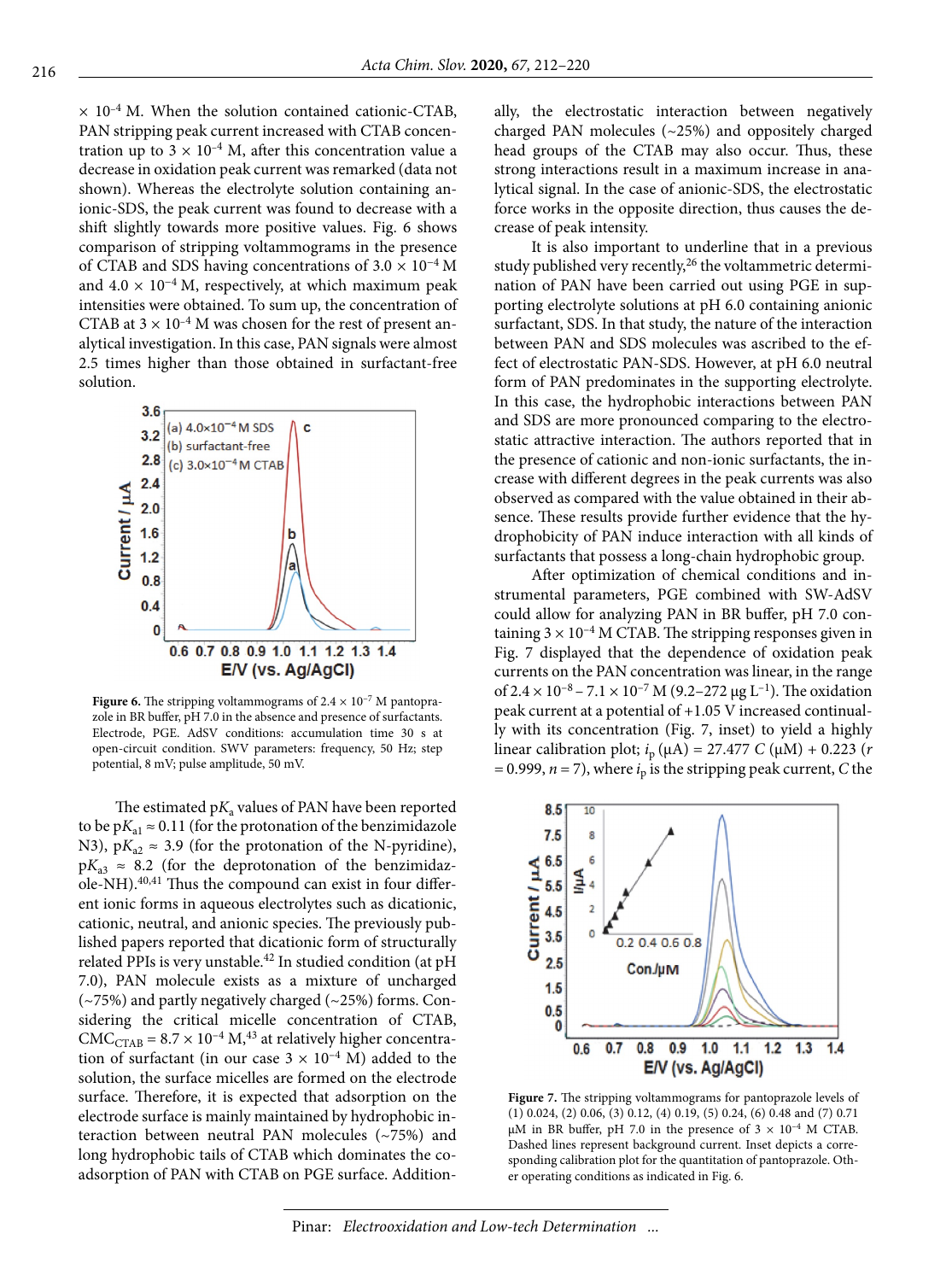$\times$  10<sup>-4</sup> M. When the solution contained cationic-CTAB, PAN stripping peak current increased with CTAB concentration up to  $3 \times 10^{-4}$  M, after this concentration value a decrease in oxidation peak current was remarked (data not shown). Whereas the electrolyte solution containing anionic-SDS, the peak current was found to decrease with a shift slightly towards more positive values. Fig. 6 shows comparison of stripping voltammograms in the presence of CTAB and SDS having concentrations of  $3.0 \times 10^{-4}$  M and  $4.0 \times 10^{-4}$  M, respectively, at which maximum peak intensities were obtained. To sum up, the concentration of CTAB at  $3 \times 10^{-4}$  M was chosen for the rest of present analytical investigation. In this case, PAN signals were almost 2.5 times higher than those obtained in surfactant-free solution.



**Figure 6.** The stripping voltammograms of  $2.4 \times 10^{-7}$  M pantoprazole in BR buffer, pH 7.0 in the absence and presence of surfactants. Electrode, PGE. AdSV conditions: accumulation time 30 s at open-circuit condition. SWV parameters: frequency, 50 Hz; step potential, 8 mV; pulse amplitude, 50 mV.

The estimated  $pK_a$  values of PAN have been reported to be  $pK_{a1} \approx 0.11$  (for the protonation of the benzimidazole N3),  $pK_{a2} \approx 3.9$  (for the protonation of the N-pyridine),  $pK_{a3} \approx 8.2$  (for the deprotonation of the benzimidazole-NH).<sup>40,41</sup> Thus the compound can exist in four different ionic forms in aqueous electrolytes such as dicationic, cationic, neutral, and anionic species. The previously published papers reported that dicationic form of structurally related PPIs is very unstable.<sup>42</sup> In studied condition (at pH 7.0), PAN molecule exists as a mixture of uncharged (~75%) and partly negatively charged (~25%) forms. Considering the critical micelle concentration of CTAB,  $CMC<sub>CTAB</sub> = 8.7 \times 10^{-4} M<sub>1</sub><sup>43</sup>$  at relatively higher concentration of surfactant (in our case  $3 \times 10^{-4}$  M) added to the solution, the surface micelles are formed on the electrode surface. Therefore, it is expected that adsorption on the electrode surface is mainly maintained by hydrophobic interaction between neutral PAN molecules (~75%) and long hydrophobic tails of CTAB which dominates the coadsorption of PAN with CTAB on PGE surface. Additionally, the electrostatic interaction between negatively charged PAN molecules (~25%) and oppositely charged head groups of the CTAB may also occur. Thus, these strong interactions result in a maximum increase in analytical signal. In the case of anionic-SDS, the electrostatic force works in the opposite direction, thus causes the decrease of peak intensity.

It is also important to underline that in a previous study published very recently,<sup>26</sup> the voltammetric determination of PAN have been carried out using PGE in supporting electrolyte solutions at pH 6.0 containing anionic surfactant, SDS. In that study, the nature of the interaction between PAN and SDS molecules was ascribed to the effect of electrostatic PAN-SDS. However, at pH 6.0 neutral form of PAN predominates in the supporting electrolyte. In this case, the hydrophobic interactions between PAN and SDS are more pronounced comparing to the electrostatic attractive interaction. The authors reported that in the presence of cationic and non-ionic surfactants, the increase with different degrees in the peak currents was also observed as compared with the value obtained in their absence. These results provide further evidence that the hydrophobicity of PAN induce interaction with all kinds of surfactants that possess a long-chain hydrophobic group.

After optimization of chemical conditions and instrumental parameters, PGE combined with SW-AdSV could allow for analyzing PAN in BR buffer, pH 7.0 containing  $3 \times 10^{-4}$  M CTAB. The stripping responses given in Fig. 7 displayed that the dependence of oxidation peak currents on the PAN concentration was linear, in the range of  $2.4 \times 10^{-8}$  –  $7.1 \times 10^{-7}$  M (9.2–272 μg L<sup>-1</sup>). The oxidation peak current at a potential of +1.05 V increased continually with its concentration (Fig. 7, inset) to yield a highly linear calibration plot; *i*p (µA) = 27.477 *C* (µM) + 0.223 (*r*   $= 0.999$ ,  $n = 7$ ), where  $i<sub>p</sub>$  is the stripping peak current, *C* the



**Figure 7.** The stripping voltammograms for pantoprazole levels of (1) 0.024, (2) 0.06, (3) 0.12, (4) 0.19, (5) 0.24, (6) 0.48 and (7) 0.71  $\mu$ M in BR buffer, pH 7.0 in the presence of 3  $\times$  10<sup>-4</sup> M CTAB. Dashed lines represent background current. Inset depicts a corresponding calibration plot for the quantitation of pantoprazole. Other operating conditions as indicated in Fig. 6.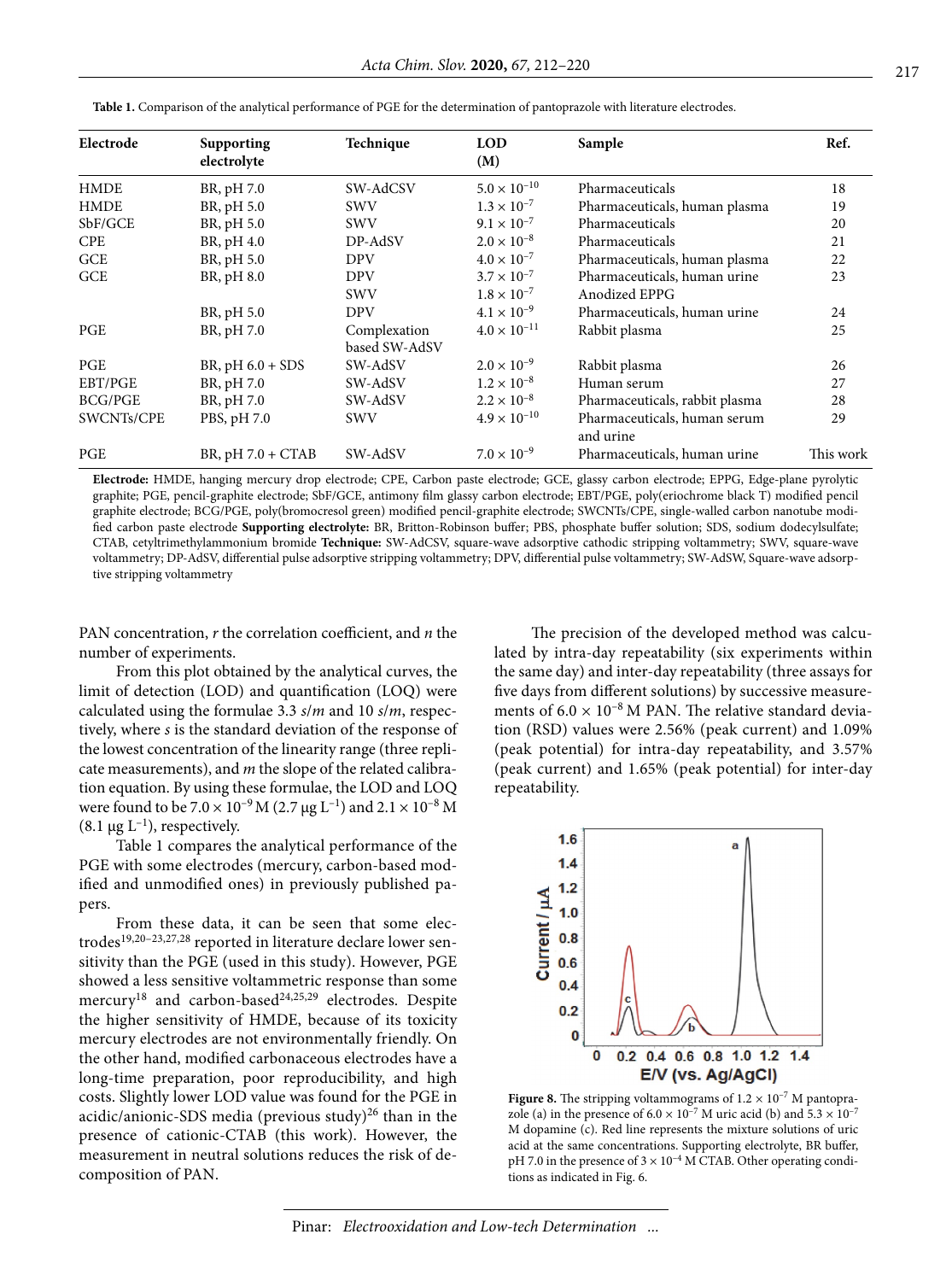| Electrode  | Supporting<br>electrolyte | Technique     | <b>LOD</b><br>(M)     | Sample                         | Ref.      |
|------------|---------------------------|---------------|-----------------------|--------------------------------|-----------|
|            |                           |               |                       |                                |           |
| HMDE       | BR, pH 7.0                | SW-AdCSV      | $5.0 \times 10^{-10}$ | Pharmaceuticals                | 18        |
| HMDE       | BR, pH 5.0                | <b>SWV</b>    | $1.3 \times 10^{-7}$  | Pharmaceuticals, human plasma  | 19        |
| SbF/GCE    | BR, pH 5.0                | <b>SWV</b>    | $9.1 \times 10^{-7}$  | Pharmaceuticals                | 20        |
| CPE        | BR, pH 4.0                | DP-AdSV       | $2.0 \times 10^{-8}$  | Pharmaceuticals                | 21        |
| GCE        | BR, pH 5.0                | <b>DPV</b>    | $4.0 \times 10^{-7}$  | Pharmaceuticals, human plasma  | 22        |
| GCE        | BR, pH 8.0                | <b>DPV</b>    | $3.7 \times 10^{-7}$  | Pharmaceuticals, human urine   | 23        |
|            |                           | <b>SWV</b>    | $1.8 \times 10^{-7}$  | Anodized EPPG                  |           |
|            | BR, pH 5.0                | <b>DPV</b>    | $4.1 \times 10^{-9}$  | Pharmaceuticals, human urine   | 24        |
| PGE        | BR, pH 7.0                | Complexation  | $4.0 \times 10^{-11}$ | Rabbit plasma                  | 25        |
|            |                           | based SW-AdSV |                       |                                |           |
| PGE        | BR, $pH 6.0 + SDS$        | SW-AdSV       | $2.0 \times 10^{-9}$  | Rabbit plasma                  | 26        |
| EBT/PGE    | BR, pH 7.0                | SW-AdSV       | $1.2 \times 10^{-8}$  | Human serum                    | 27        |
| BCG/PGE    | BR, pH 7.0                | SW-AdSV       | $2.2 \times 10^{-8}$  | Pharmaceuticals, rabbit plasma | 28        |
| SWCNTs/CPE | PBS, pH 7.0               | <b>SWV</b>    | $4.9 \times 10^{-10}$ | Pharmaceuticals, human serum   | 29        |
|            |                           |               |                       | and urine                      |           |
| PGE        | $BR$ , pH $7.0 + CTAB$    | SW-AdSV       | $7.0 \times 10^{-9}$  | Pharmaceuticals, human urine   | This work |
|            |                           |               |                       |                                |           |

**Table 1.** Comparison of the analytical performance of PGE for the determination of pantoprazole with literature electrodes.

**Electrode:** HMDE, hanging mercury drop electrode; CPE, Carbon paste electrode; GCE, glassy carbon electrode; EPPG, Edge-plane pyrolytic graphite; PGE, pencil-graphite electrode; SbF/GCE, antimony film glassy carbon electrode; EBT/PGE, poly(eriochrome black T) modified pencil graphite electrode; BCG/PGE, poly(bromocresol green) modified pencil-graphite electrode; SWCNTs/CPE, single-walled carbon nanotube modified carbon paste electrode **Supporting electrolyte:** BR, Britton-Robinson buffer; PBS, phosphate buffer solution; SDS, sodium dodecylsulfate; CTAB, cetyltrimethylammonium bromide **Technique:** SW-AdCSV, square-wave adsorptive cathodic stripping voltammetry; SWV, square-wave voltammetry; DP-AdSV, differential pulse adsorptive stripping voltammetry; DPV, differential pulse voltammetry; SW-AdSW, Square-wave adsorptive stripping voltammetry

PAN concentration, *r* the correlation coefficient, and *n* the number of experiments.

From this plot obtained by the analytical curves, the limit of detection (LOD) and quantification (LOQ) were calculated using the formulae 3.3 *s*/*m* and 10 *s*/*m*, respectively, where *s* is the standard deviation of the response of the lowest concentration of the linearity range (three replicate measurements), and *m* the slope of the related calibration equation. By using these formulae, the LOD and LOQ were found to be  $7.0 \times 10^{-9}$  M (2.7 µg L<sup>-1</sup>) and  $2.1 \times 10^{-8}$  M (8.1  $\mu$ g L<sup>-1</sup>), respectively.

Table 1 compares the analytical performance of the PGE with some electrodes (mercury, carbon-based modified and unmodified ones) in previously published papers.

From these data, it can be seen that some electrodes<sup>19,20-23,27,28</sup> reported in literature declare lower sensitivity than the PGE (used in this study). However, PGE showed a less sensitive voltammetric response than some mercury<sup>18</sup> and carbon-based<sup>24,25,29</sup> electrodes. Despite the higher sensitivity of HMDE, because of its toxicity mercury electrodes are not environmentally friendly. On the other hand, modified carbonaceous electrodes have a long-time preparation, poor reproducibility, and high costs. Slightly lower LOD value was found for the PGE in acidic/anionic-SDS media (previous study) $^{26}$  than in the presence of cationic-CTAB (this work). However, the measurement in neutral solutions reduces the risk of decomposition of PAN.

The precision of the developed method was calculated by intra-day repeatability (six experiments within the same day) and inter-day repeatability (three assays for five days from different solutions) by successive measurements of  $6.0 \times 10^{-8}$  M PAN. The relative standard deviation (RSD) values were 2.56% (peak current) and 1.09% (peak potential) for intra-day repeatability, and 3.57% (peak current) and 1.65% (peak potential) for inter-day repeatability.



**Figure 8.** The stripping voltammograms of  $1.2 \times 10^{-7}$  M pantoprazole (a) in the presence of  $6.0 \times 10^{-7}$  M uric acid (b) and  $5.3 \times 10^{-7}$ M dopamine (c). Red line represents the mixture solutions of uric acid at the same concentrations. Supporting electrolyte, BR buffer, pH 7.0 in the presence of  $3 \times 10^{-4}$  M CTAB. Other operating conditions as indicated in Fig. 6.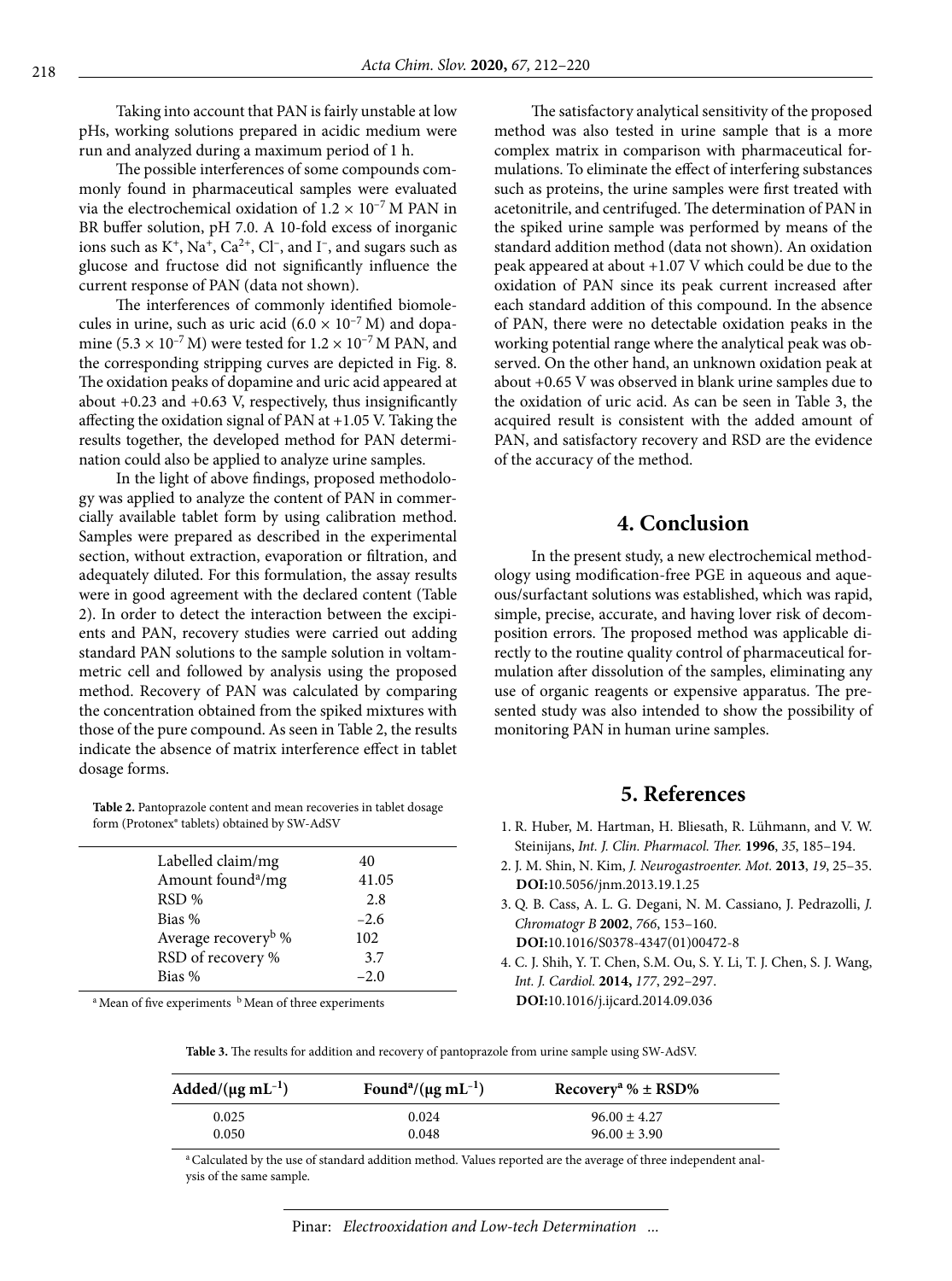Taking into account that PAN is fairly unstable at low pHs, working solutions prepared in acidic medium were run and analyzed during a maximum period of 1 h.

The possible interferences of some compounds commonly found in pharmaceutical samples were evaluated via the electrochemical oxidation of  $1.2 \times 10^{-7}$  M PAN in BR buffer solution, pH 7.0. A 10-fold excess of inorganic ions such as  $K^+$ , Na<sup>+</sup>, Ca<sup>2+</sup>, Cl<sup>-</sup>, and I<sup>-</sup>, and sugars such as glucose and fructose did not significantly influence the current response of PAN (data not shown).

The interferences of commonly identified biomolecules in urine, such as uric acid  $(6.0 \times 10^{-7} \text{ M})$  and dopamine (5.3  $\times$  10<sup>-7</sup> M) were tested for 1.2  $\times$  10<sup>-7</sup> M PAN, and the corresponding stripping curves are depicted in Fig. 8. The oxidation peaks of dopamine and uric acid appeared at about +0.23 and +0.63 V, respectively, thus insignificantly affecting the oxidation signal of PAN at +1.05 V. Taking the results together, the developed method for PAN determination could also be applied to analyze urine samples.

In the light of above findings, proposed methodology was applied to analyze the content of PAN in commercially available tablet form by using calibration method. Samples were prepared as described in the experimental section, without extraction, evaporation or filtration, and adequately diluted. For this formulation, the assay results were in good agreement with the declared content (Table 2). In order to detect the interaction between the excipients and PAN, recovery studies were carried out adding standard PAN solutions to the sample solution in voltammetric cell and followed by analysis using the proposed method. Recovery of PAN was calculated by comparing the concentration obtained from the spiked mixtures with those of the pure compound. As seen in Table 2, the results indicate the absence of matrix interference effect in tablet dosage forms.

**Table 2.** Pantoprazole content and mean recoveries in tablet dosage form (Protonex® tablets) obtained by SW-AdSV

| Labelled claim/mg               | 40     |
|---------------------------------|--------|
| Amount found <sup>a</sup> /mg   | 41.05  |
| RSD %                           | 2.8    |
| Bias %                          | $-2.6$ |
| Average recovery <sup>b</sup> % | 102    |
| RSD of recovery %               | 3.7    |
| Bias %                          | $-2.0$ |

 $a<sup>a</sup>$  Mean of five experiments  $b<sup>b</sup>$  Mean of three experiments

The satisfactory analytical sensitivity of the proposed method was also tested in urine sample that is a more complex matrix in comparison with pharmaceutical formulations. To eliminate the effect of interfering substances such as proteins, the urine samples were first treated with acetonitrile, and centrifuged. The determination of PAN in the spiked urine sample was performed by means of the standard addition method (data not shown). An oxidation peak appeared at about +1.07 V which could be due to the oxidation of PAN since its peak current increased after each standard addition of this compound. In the absence of PAN, there were no detectable oxidation peaks in the working potential range where the analytical peak was observed. On the other hand, an unknown oxidation peak at about +0.65 V was observed in blank urine samples due to the oxidation of uric acid. As can be seen in Table 3, the acquired result is consistent with the added amount of PAN, and satisfactory recovery and RSD are the evidence of the accuracy of the method.

## **4. Conclusion**

In the present study, a new electrochemical methodology using modification-free PGE in aqueous and aqueous/surfactant solutions was established, which was rapid, simple, precise, accurate, and having lover risk of decomposition errors. The proposed method was applicable directly to the routine quality control of pharmaceutical formulation after dissolution of the samples, eliminating any use of organic reagents or expensive apparatus. The presented study was also intended to show the possibility of monitoring PAN in human urine samples.

## **5. References**

- 1. R. Huber, M. Hartman, H. Bliesath, R. Lühmann, and V. W. Steinijans, *Int. J. Clin. Pharmacol. Ther.* **1996**, *35*, 185–194.
- 2. J. M. Shin, N. Kim, *J. Neurogastroenter. Mot.* **2013**, *19*, 25–35. **DOI:**[10.5056/jnm.2013.19.1.25](https://doi.org/10.5056/jnm.2013.19.1.25)
- 3. Q. B. Cass, A. L. G. Degani, N. M. Cassiano, J. Pedrazolli, *J. Chromatogr B* **2002**, *766*, 153–160. **DOI:**[10.1016/S0378-4347\(01\)00472-8](https://doi.org/10.1016/S0378-4347(01)00472-8)
- 4. C. J. Shih, Y. T. Chen, S.M. Ou, S. Y. Li, T. J. Chen, S. J. Wang, *Int. J. Cardiol.* **2014,** *177*, 292–297. **DOI:**[10.1016/j.ijcard.2014.09.036](https://doi.org/10.1016/j.ijcard.2014.09.036)

**Table 3.** The results for addition and recovery of pantoprazole from urine sample using SW-AdSV.

| $\text{Added}/(\mu \text{g} \text{ mL}^{-1})$ | Found <sup>a</sup> /( $\mu$ g mL <sup>-1</sup> ) | Recovery <sup>a</sup> % $\pm$ RSD% |  |
|-----------------------------------------------|--------------------------------------------------|------------------------------------|--|
| 0.025                                         | 0.024                                            | $96.00 \pm 4.27$                   |  |
| 0.050                                         | 0.048                                            | $96.00 \pm 3.90$                   |  |

a Calculated by the use of standard addition method. Values reported are the average of three independent analysis of the same sample.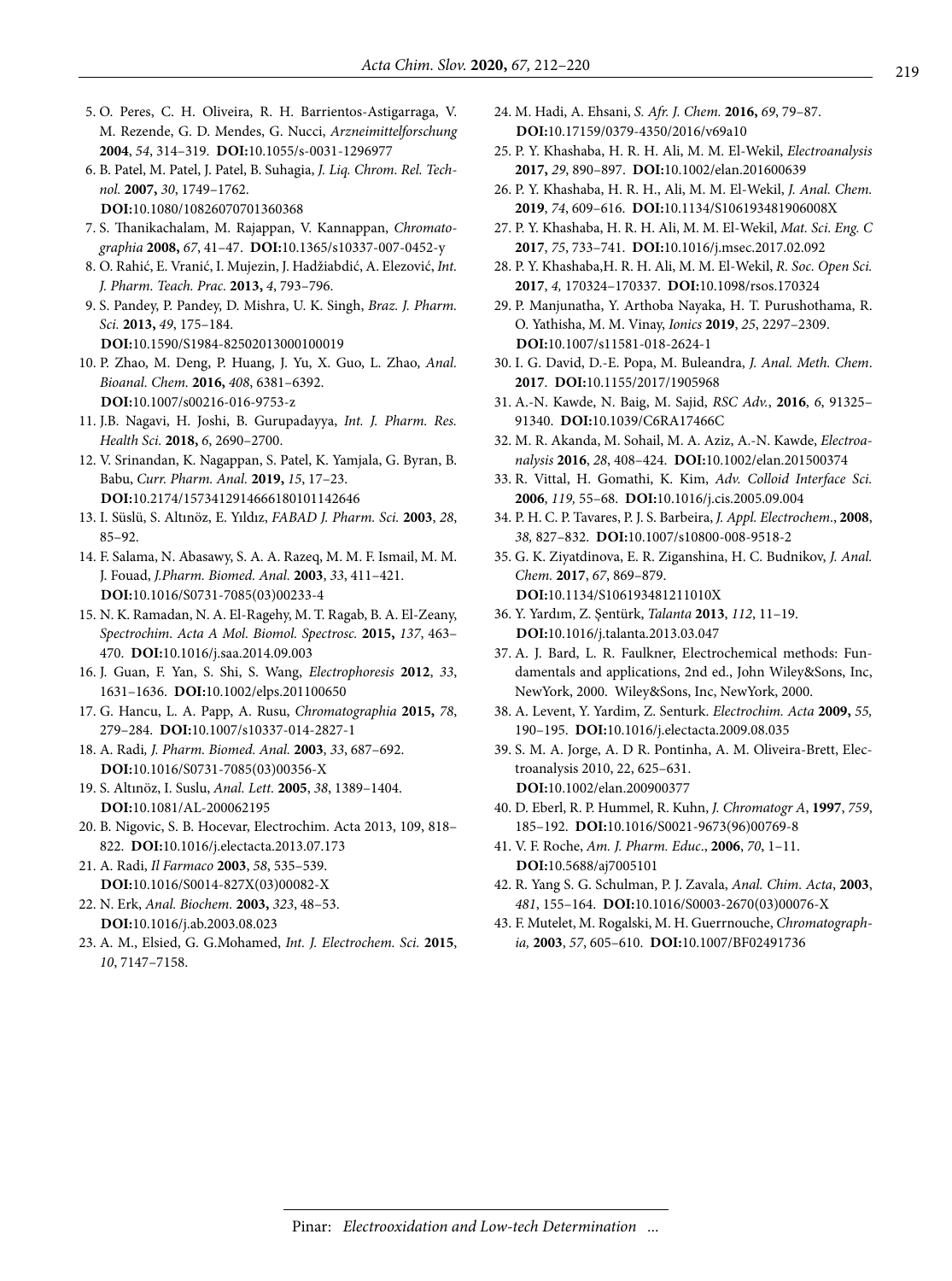- 5. O. Peres, C. H. Oliveira, R. H. Barrientos-Astigarraga, V. M. Rezende, G. D. Mendes, G. Nucci, *Arzneimittelforschung* **2004**, *54*, 314–319. **DOI:**[10.1055/s-0031-1296977](https://doi.org/10.1055/s-0031-1296977)
- 6. B. Patel, M. Patel, J. Patel, B. Suhagia, *J. Liq. Chrom. Rel. Technol.* **2007,** *30*, 1749–1762.

**DOI:**[10.1080/10826070701360368](https://doi.org/10.1080/10826070701360368)

- 7. S. Thanikachalam, M. Rajappan, V. Kannappan, *Chromatographia* **2008,** *67*, 41–47. **DOI:**[10.1365/s10337-007-0452-y](https://doi.org/10.1365/s10337-007-0452-y)
- 8. O. Rahić, E. Vranić, I. Mujezin, J. Hadžiabdić, A. Elezović, *Int. J. Pharm. Teach. Prac.* **2013,** *4*, 793–796.
- 9. S. Pandey, P. Pandey, D. Mishra, U. K. Singh, *Braz. J. Pharm. Sci.* **2013,** *49*, 175–184.
	- **DOI:**[10.1590/S1984-82502013000100019](https://doi.org/10.1590/S1984-82502013000100019)
- 10. P. Zhao, M. Deng, P. Huang, J. Yu, X. Guo, L. Zhao, *Anal. Bioanal. Chem.* **2016,** *408*, 6381–6392. **DOI:**[10.1007/s00216-016-9753-z](https://doi.org/10.1007/s00216-016-9753-z)
- 11. J.B. Nagavi, H. Joshi, B. Gurupadayya, *Int. J. Pharm. Res. Health Sci.* **2018,** *6*, 2690–2700.
- 12. V. Srinandan, K. Nagappan, S. Patel, K. Yamjala, G. Byran, B. Babu, *Curr. Pharm. Anal.* **2019,** *15*, 17–23. **DOI:**[10.2174/1573412914666180101142646](https://doi.org/10.2174/1573412914666180101142646)
- 13. I. Süslü, S. Altınöz, E. Yıldız, *FABAD J. Pharm. Sci.* **2003**, *28*, 85–92.
- 14. F. Salama, N. Abasawy, S. A. A. Razeq, M. M. F. Ismail, M. M. J. Fouad, *[J.Pharm. Biomed. Anal](file:///C:\Users\Mesut\Downloads\%20Pharma%20Biomed%20Anal).* **2003**, *33*, 411–421. **DOI:**[10.1016/S0731-7085\(03\)00233-4](https://doi.org/10.1016/S0731-7085(03)00233-4)
- 15. N. K. Ramadan, N. A. El-Ragehy, M. T. Ragab, B. A. El-Zeany, *Spectrochim. Acta A Mol. Biomol. Spectrosc.* **2015,** *137*, 463– 470. **DOI:**[10.1016/j.saa.2014.09.003](https://doi.org/10.1016/j.saa.2014.09.003)
- 16. J. Guan, F. Yan, S. Shi, S. Wang, *Electrophoresis* **2012**, *33*, 1631–1636. **DOI:**[10.1002/elps.201100650](https://doi.org/10.1002/elps.201100650)
- 17. G. Hancu, L. A. Papp, A. Rusu, *Chromatographia* **2015,** *78*, 279–284. **DOI:**[10.1007/s10337-014-2827-1](https://doi.org/10.1007/s10337-014-2827-1)
- 18. A. Radi*, J. Pharm. Biomed. Anal.* **2003**, *33*, 687–692. **DOI:**[10.1016/S0731-7085\(03\)00356-X](https://doi.org/10.1016/S0731-7085(03)00356-X)
- 19. S. Altınöz, I. Suslu, *Anal. Lett.* **2005**, *38*, 1389–1404. **DOI:**[10.1081/AL-200062195](https://doi.org/10.1081/AL-200062195)
- 20. B. Nigovic, S. B. Hocevar, Electrochim. Acta 2013, 109, 818– 822. **DOI:**[10.1016/j.electacta.2013.07.173](https://doi.org/10.1016/j.electacta.2013.07.173)
- 21. A. Radi, *Il Farmaco* **2003**, *58*, 535–539. **DOI:**[10.1016/S0014-827X\(03\)00082-X](https://doi.org/10.1016/S0014-827X(03)00082-X)
- 22. N. Erk, *Anal. Biochem.* **2003,** *323*, 48–53. **DOI:**[10.1016/j.ab.2003.08.023](https://doi.org/10.1016/j.ab.2003.08.023)
- 23. A. M., Elsied, G. G.Mohamed, *Int. J. Electrochem. Sci.* **2015**, *10*, 7147–7158.
- 24. M. Hadi, A. Ehsani, *S. Afr. J. Chem.* **2016,** *69*, 79–87. **DOI:**[10.17159/0379-4350/2016/v69a10](https://doi.org/10.17159/0379-4350/2016/v69a10)
- 25. P. Y. Khashaba, H. R. H. Ali, M. M. El-Wekil, *Electroanalysis* **2017,** *29*, 890–897. **DOI:**[10.1002/elan.201600639](https://doi.org/10.1002/elan.201600639)
- 26. P. Y. Khashaba, H. R. H., Ali, M. M. El-Wekil, *J. Anal. Chem.* **2019**, *74*, 609–616. **DOI:**[10.1134/S106193481906008X](https://doi.org/10.1134/S106193481906008X)
- 27. P. Y. Khashaba, H. R. H. Ali, M. M. El-Wekil, *Mat. Sci. Eng. C* **2017**, *75*, 733–741. **DOI:**[10.1016/j.msec.2017.02.092](https://doi.org/10.1016/j.msec.2017.02.092)
- 28. P. Y. Khashaba,H. R. H. Ali, M. M. El-Wekil, *R. Soc. Open Sci.* **2017**, *4,* 170324–170337. **DOI:**[10.1098/rsos.170324](https://doi.org/10.1098/rsos.170324)
- 29. P. Manjunatha, Y. Arthoba Nayaka, H. T. Purushothama, R. O. Yathisha, M. M. Vinay, *Ionics* **2019**, *25*, 2297–2309. **DOI:**[10.1007/s11581-018-2624-1](https://doi.org/10.1007/s11581-018-2624-1)
- 30. I. G. David, D.-E. Popa, M. Buleandra, *J. Anal. Meth. Chem*. **2017**. **DOI:**[10.1155/2017/1905968](https://doi.org/10.1155/2017/1905968)
- 31. A.-N. Kawde, N. Baig, M. Sajid, *RSC Adv.*, **2016**, *6*, 91325– 91340. **DOI:**[10.1039/C6RA17466C](https://doi.org/10.1039/C6RA17466C)
- 32. M. R. Akanda, M. Sohail, M. A. Aziz, A.-N. Kawde, *Electroanalysis* **2016**, *28*, 408–424. **DOI:**[10.1002/elan.201500374](https://doi.org/10.1002/elan.201500374)
- 33. R. Vittal, H. Gomathi, K. Kim, *Adv. Colloid Interface Sci.* **2006**, *119,* 55–68. **DOI:**[10.1016/j.cis.2005.09.004](https://doi.org/10.1016/j.cis.2005.09.004)
- 34. P. H. C. P. Tavares, P. J. S. Barbeira, *J. Appl. Electrochem*., **2008**, *38,* 827–832. **DOI:**[10.1007/s10800-008-9518-2](https://doi.org/10.1007/s10800-008-9518-2)
- 35. G. K. Ziyatdinova, E. R. Ziganshina, H. C. Budnikov, *J. Anal. Chem.* **2017**, *67*, 869–879. **DOI:**[10.1134/S106193481211010X](https://doi.org/10.1134/S106193481211010X)
- 36. Y. Yardım, Z. Şentürk, *Talanta* **2013**, *112*, 11–19. **DOI:**[10.1016/j.talanta.2013.03.047](https://doi.org/10.1016/j.talanta.2013.03.047)
- 37. A. J. Bard, L. R. Faulkner, Electrochemical methods: Fundamentals and applications, 2nd ed., John Wiley&Sons, Inc, NewYork, 2000. Wiley&Sons, Inc, NewYork, 2000.
- 38. A. Levent, Y. Yardim, Z. Senturk. *Electrochim. Acta* **2009,** *55,* 190–195. **DOI:**[10.1016/j.electacta.2009.08.035](https://doi.org/10.1016/j.electacta.2009.08.035)
- 39. S. M. A. Jorge, A. D R. Pontinha, A. M. Oliveira-Brett, Electroanalysis 2010, 22, 625–631. **DOI:**[10.1002/elan.200900377](https://doi.org/10.1002/elan.200900377)
- 40. D. Eberl, R. P. Hummel, R. Kuhn, *J. Chromatogr A*, **1997**, *759*, 185–192. **DOI:**[10.1016/S0021-9673\(96\)00769-8](https://doi.org/10.1016/S0021-9673(96)00769-8)
- 41. V. F. Roche, *Am. J. Pharm. Educ*., **2006**, *70*, 1–11. **DOI:**[10.5688/aj7005101](https://doi.org/10.5688/aj7005101)
- 42. R. Yang S. G. Schulman, P. J. Zavala, *Anal. Chim. Acta*, **2003**, *481*, 155–164. **DOI:**[10.1016/S0003-2670\(03\)00076-X](https://doi.org/10.1016/S0003-2670(03)00076-X)
- 43. F. Mutelet, M. Rogalski, M. H. Guerrnouche, *Chromatographia,* **2003**, *57*, 605–610. **DOI:**[10.1007/BF02491736](https://doi.org/10.1007/BF02491736)